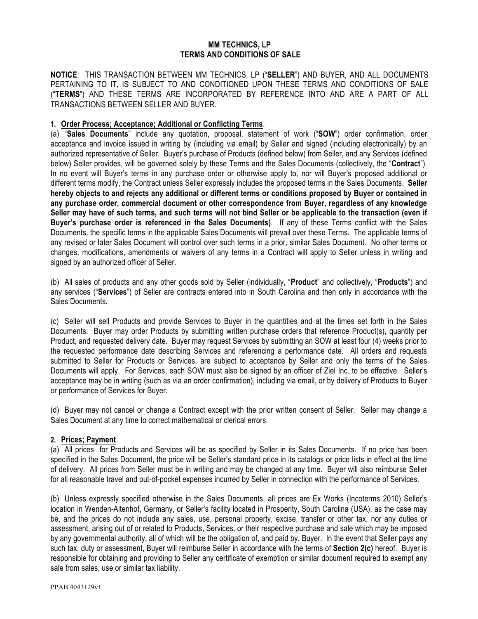### **MM TECHNICS, LP TERMS AND CONDITIONS OF SALE**

**NOTICE**: THIS TRANSACTION BETWEEN MM TECHNICS, LP ("**SELLER**") AND BUYER, AND ALL DOCUMENTS PERTAINING TO IT, IS SUBJECT TO AND CONDITIONED UPON THESE TERMS AND CONDITIONS OF SALE ("**TERMS**") AND THESE TERMS ARE INCORPORATED BY REFERENCE INTO AND ARE A PART OF ALL TRANSACTIONS BETWEEN SELLER AND BUYER.

#### **1. Order Process; Acceptance; Additional or Conflicting Terms**.

(a) "**Sales Documents**" include any quotation, proposal, statement of work ("**SOW**") order confirmation, order acceptance and invoice issued in writing by (including via email) by Seller and signed (including electronically) by an authorized representative of Seller. Buyer's purchase of Products (defined below) from Seller, and any Services (defined below) Seller provides, will be governed solely by these Terms and the Sales Documents (collectively, the "**Contract**"). In no event will Buyer's terms in any purchase order or otherwise apply to, nor will Buyer's proposed additional or different terms modify, the Contract unless Seller expressly includes the proposed terms in the Sales Documents. **Seller hereby objects to and rejects any additional or different terms or conditions proposed by Buyer or contained in any purchase order, commercial document or other correspondence from Buyer, regardless of any knowledge Seller may have of such terms, and such terms will not bind Seller or be applicable to the transaction (even if Buyer's purchase order is referenced in the Sales Documents)**. If any of these Terms conflict with the Sales Documents, the specific terms in the applicable Sales Documents will prevail over these Terms. The applicable terms of any revised or later Sales Document will control over such terms in a prior, similar Sales Document. No other terms or changes, modifications, amendments or waivers of any terms in a Contract will apply to Seller unless in writing and signed by an authorized officer of Seller.

(b) All sales of products and any other goods sold by Seller (individually, "**Product**" and collectively, "**Products**") and any services ("**Services**") of Seller are contracts entered into in South Carolina and then only in accordance with the Sales Documents.

(c) Seller will sell Products and provide Services to Buyer in the quantities and at the times set forth in the Sales Documents. Buyer may order Products by submitting written purchase orders that reference Product(s), quantity per Product, and requested delivery date. Buyer may request Services by submitting an SOW at least four (4) weeks prior to the requested performance date describing Services and referencing a performance date. All orders and requests submitted to Seller for Products or Services, are subject to acceptance by Seller and only the terms of the Sales Documents will apply. For Services, each SOW must also be signed by an officer of Ziel Inc. to be effective. Seller's acceptance may be in writing (such as via an order confirmation), including via email, or by delivery of Products to Buyer or performance of Services for Buyer.

(d) Buyer may not cancel or change a Contract except with the prior written consent of Seller. Seller may change a Sales Document at any time to correct mathematical or clerical errors.

### **2. Prices; Payment**.

(a) All prices for Products and Services will be as specified by Seller in its Sales Documents. If no price has been specified in the Sales Document, the price will be Seller's standard price in its catalogs or price lists in effect at the time of delivery. All prices from Seller must be in writing and may be changed at any time. Buyer will also reimburse Seller for all reasonable travel and out-of-pocket expenses incurred by Seller in connection with the performance of Services.

(b) Unless expressly specified otherwise in the Sales Documents, all prices are Ex Works (Incoterms 2010) Seller's location in Wenden-Altenhof, Germany, or Seller's facility located in Prosperity, South Carolina (USA), as the case may be, and the prices do not include any sales, use, personal property, excise, transfer or other tax, nor any duties or assessment, arising out of or related to Products, Services, or their respective purchase and sale which may be imposed by any governmental authority, all of which will be the obligation of, and paid by, Buyer. In the event that Seller pays any such tax, duty or assessment, Buyer will reimburse Seller in accordance with the terms of **Section 2(c)** hereof. Buyer is responsible for obtaining and providing to Seller any certificate of exemption or similar document required to exempt any sale from sales, use or similar tax liability.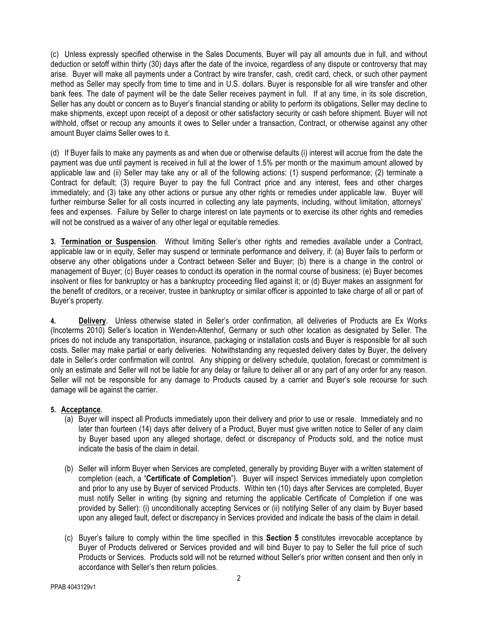(c) Unless expressly specified otherwise in the Sales Documents, Buyer will pay all amounts due in full, and without deduction or setoff within thirty (30) days after the date of the invoice, regardless of any dispute or controversy that may arise. Buyer will make all payments under a Contract by wire transfer, cash, credit card, check, or such other payment method as Seller may specify from time to time and in U.S. dollars. Buyer is responsible for all wire transfer and other bank fees. The date of payment will be the date Seller receives payment in full. If at any time, in its sole discretion, Seller has any doubt or concern as to Buyer's financial standing or ability to perform its obligations, Seller may decline to make shipments, except upon receipt of a deposit or other satisfactory security or cash before shipment. Buyer will not withhold, offset or recoup any amounts it owes to Seller under a transaction, Contract, or otherwise against any other amount Buyer claims Seller owes to it.

(d) If Buyer fails to make any payments as and when due or otherwise defaults (i) interest will accrue from the date the payment was due until payment is received in full at the lower of 1.5% per month or the maximum amount allowed by applicable law and (ii) Seller may take any or all of the following actions: (1) suspend performance; (2) terminate a Contract for default; (3) require Buyer to pay the full Contract price and any interest, fees and other charges immediately; and (3) take any other actions or pursue any other rights or remedies under applicable law. Buyer will further reimburse Seller for all costs incurred in collecting any late payments, including, without limitation, attorneys' fees and expenses. Failure by Seller to charge interest on late payments or to exercise its other rights and remedies will not be construed as a waiver of any other legal or equitable remedies.

**3. Termination or Suspension**. Without limiting Seller's other rights and remedies available under a Contract, applicable law or in equity, Seller may suspend or terminate performance and delivery, if: (a) Buyer fails to perform or observe any other obligations under a Contract between Seller and Buyer; (b) there is a change in the control or management of Buyer; (c) Buyer ceases to conduct its operation in the normal course of business; (e) Buyer becomes insolvent or files for bankruptcy or has a bankruptcy proceeding filed against it; or (d) Buyer makes an assignment for the benefit of creditors, or a receiver, trustee in bankruptcy or similar officer is appointed to take charge of all or part of Buyer's property.

**4. Delivery**. Unless otherwise stated in Seller's order confirmation, all deliveries of Products are Ex Works (Incoterms 2010) Seller's location in Wenden-Altenhof, Germany or such other location as designated by Seller. The prices do not include any transportation, insurance, packaging or installation costs and Buyer is responsible for all such costs. Seller may make partial or early deliveries. Notwithstanding any requested delivery dates by Buyer, the delivery date in Seller's order confirmation will control. Any shipping or delivery schedule, quotation, forecast or commitment is only an estimate and Seller will not be liable for any delay or failure to deliver all or any part of any order for any reason. Seller will not be responsible for any damage to Products caused by a carrier and Buyer's sole recourse for such damage will be against the carrier.

### **5. Acceptance**.

- (a) Buyer will inspect all Products immediately upon their delivery and prior to use or resale. Immediately and no later than fourteen (14) days after delivery of a Product, Buyer must give written notice to Seller of any claim by Buyer based upon any alleged shortage, defect or discrepancy of Products sold, and the notice must indicate the basis of the claim in detail.
- (b) Seller will inform Buyer when Services are completed, generally by providing Buyer with a written statement of completion (each, a "**Certificate of Completion**"). Buyer will inspect Services immediately upon completion and prior to any use by Buyer of serviced Products. Within ten (10) days after Services are completed, Buyer must notify Seller in writing (by signing and returning the applicable Certificate of Completion if one was provided by Seller): (i) unconditionally accepting Services or (ii) notifying Seller of any claim by Buyer based upon any alleged fault, defect or discrepancy in Services provided and indicate the basis of the claim in detail.
- (c) Buyer's failure to comply within the time specified in this **Section 5** constitutes irrevocable acceptance by Buyer of Products delivered or Services provided and will bind Buyer to pay to Seller the full price of such Products or Services. Products sold will not be returned without Seller's prior written consent and then only in accordance with Seller's then return policies.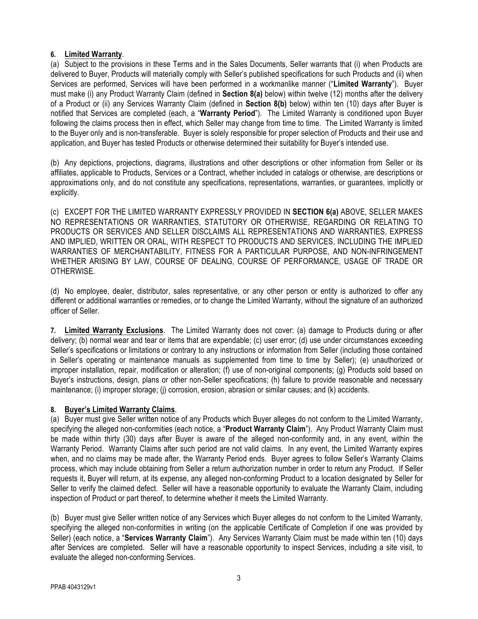## **6. Limited Warranty**.

(a) Subject to the provisions in these Terms and in the Sales Documents, Seller warrants that (i) when Products are delivered to Buyer, Products will materially comply with Seller's published specifications for such Products and (ii) when Services are performed, Services will have been performed in a workmanlike manner ("**Limited Warranty**"). Buyer must make (i) any Product Warranty Claim (defined in **Section 8(a)** below) within twelve (12) months after the delivery of a Product or (ii) any Services Warranty Claim (defined in **Section 8(b)** below) within ten (10) days after Buyer is notified that Services are completed (each, a "**Warranty Period**"). The Limited Warranty is conditioned upon Buyer following the claims process then in effect, which Seller may change from time to time. The Limited Warranty is limited to the Buyer only and is non-transferable. Buyer is solely responsible for proper selection of Products and their use and application, and Buyer has tested Products or otherwise determined their suitability for Buyer's intended use.

(b) Any depictions, projections, diagrams, illustrations and other descriptions or other information from Seller or its affiliates, applicable to Products, Services or a Contract, whether included in catalogs or otherwise, are descriptions or approximations only, and do not constitute any specifications, representations, warranties, or guarantees, implicitly or explicitly.

(c) EXCEPT FOR THE LIMITED WARRANTY EXPRESSLY PROVIDED IN **SECTION 6(a)** ABOVE, SELLER MAKES NO REPRESENTATIONS OR WARRANTIES, STATUTORY OR OTHERWISE, REGARDING OR RELATING TO PRODUCTS OR SERVICES AND SELLER DISCLAIMS ALL REPRESENTATIONS AND WARRANTIES, EXPRESS AND IMPLIED, WRITTEN OR ORAL, WITH RESPECT TO PRODUCTS AND SERVICES, INCLUDING THE IMPLIED WARRANTIES OF MERCHANTABILITY, FITNESS FOR A PARTICULAR PURPOSE, AND NON-INFRINGEMENT WHETHER ARISING BY LAW, COURSE OF DEALING, COURSE OF PERFORMANCE, USAGE OF TRADE OR OTHERWISE.

(d) No employee, dealer, distributor, sales representative, or any other person or entity is authorized to offer any different or additional warranties or remedies, or to change the Limited Warranty, without the signature of an authorized officer of Seller.

**7. Limited Warranty Exclusions**. The Limited Warranty does not cover: (a) damage to Products during or after delivery; (b) normal wear and tear or items that are expendable; (c) user error; (d) use under circumstances exceeding Seller's specifications or limitations or contrary to any instructions or information from Seller (including those contained in Seller's operating or maintenance manuals as supplemented from time to time by Seller); (e) unauthorized or improper installation, repair, modification or alteration; (f) use of non-original components; (g) Products sold based on Buyer's instructions, design, plans or other non-Seller specifications; (h) failure to provide reasonable and necessary maintenance; (i) improper storage; (j) corrosion, erosion, abrasion or similar causes; and (k) accidents.

# **8. Buyer's Limited Warranty Claims**.

(a) Buyer must give Seller written notice of any Products which Buyer alleges do not conform to the Limited Warranty, specifying the alleged non-conformities (each notice, a "**Product Warranty Claim**"). Any Product Warranty Claim must be made within thirty (30) days after Buyer is aware of the alleged non-conformity and, in any event, within the Warranty Period. Warranty Claims after such period are not valid claims. In any event, the Limited Warranty expires when, and no claims may be made after, the Warranty Period ends. Buyer agrees to follow Seller's Warranty Claims process, which may include obtaining from Seller a return authorization number in order to return any Product. If Seller requests it, Buyer will return, at its expense, any alleged non-conforming Product to a location designated by Seller for Seller to verify the claimed defect. Seller will have a reasonable opportunity to evaluate the Warranty Claim, including inspection of Product or part thereof, to determine whether it meets the Limited Warranty.

(b) Buyer must give Seller written notice of any Services which Buyer alleges do not conform to the Limited Warranty, specifying the alleged non-conformities in writing (on the applicable Certificate of Completion if one was provided by Seller) (each notice, a "**Services Warranty Claim**"). Any Services Warranty Claim must be made within ten (10) days after Services are completed. Seller will have a reasonable opportunity to inspect Services, including a site visit, to evaluate the alleged non-conforming Services.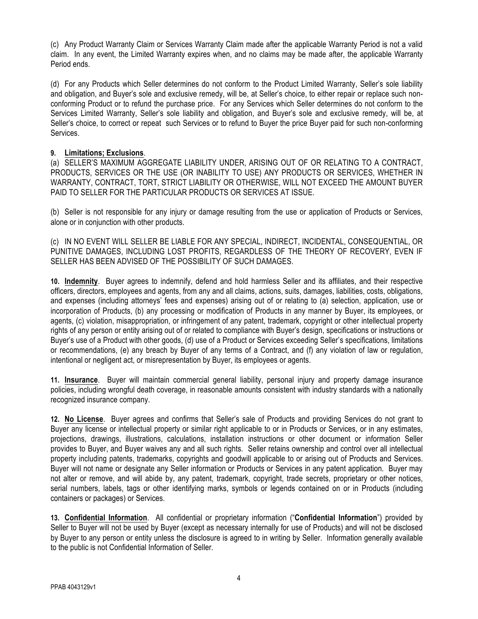(c) Any Product Warranty Claim or Services Warranty Claim made after the applicable Warranty Period is not a valid claim. In any event, the Limited Warranty expires when, and no claims may be made after, the applicable Warranty Period ends.

(d) For any Products which Seller determines do not conform to the Product Limited Warranty, Seller's sole liability and obligation, and Buyer's sole and exclusive remedy, will be, at Seller's choice, to either repair or replace such nonconforming Product or to refund the purchase price. For any Services which Seller determines do not conform to the Services Limited Warranty, Seller's sole liability and obligation, and Buyer's sole and exclusive remedy, will be, at Seller's choice, to correct or repeat such Services or to refund to Buyer the price Buyer paid for such non-conforming Services.

## **9. Limitations; Exclusions**.

(a) SELLER'S MAXIMUM AGGREGATE LIABILITY UNDER, ARISING OUT OF OR RELATING TO A CONTRACT, PRODUCTS, SERVICES OR THE USE (OR INABILITY TO USE) ANY PRODUCTS OR SERVICES, WHETHER IN WARRANTY, CONTRACT, TORT, STRICT LIABILITY OR OTHERWISE, WILL NOT EXCEED THE AMOUNT BUYER PAID TO SELLER FOR THE PARTICULAR PRODUCTS OR SERVICES AT ISSUE.

(b) Seller is not responsible for any injury or damage resulting from the use or application of Products or Services, alone or in conjunction with other products.

(c) IN NO EVENT WILL SELLER BE LIABLE FOR ANY SPECIAL, INDIRECT, INCIDENTAL, CONSEQUENTIAL, OR PUNITIVE DAMAGES, INCLUDING LOST PROFITS, REGARDLESS OF THE THEORY OF RECOVERY, EVEN IF SELLER HAS BEEN ADVISED OF THE POSSIBILITY OF SUCH DAMAGES.

**10. Indemnity**. Buyer agrees to indemnify, defend and hold harmless Seller and its affiliates, and their respective officers, directors, employees and agents, from any and all claims, actions, suits, damages, liabilities, costs, obligations, and expenses (including attorneys' fees and expenses) arising out of or relating to (a) selection, application, use or incorporation of Products, (b) any processing or modification of Products in any manner by Buyer, its employees, or agents, (c) violation, misappropriation, or infringement of any patent, trademark, copyright or other intellectual property rights of any person or entity arising out of or related to compliance with Buyer's design, specifications or instructions or Buyer's use of a Product with other goods, (d) use of a Product or Services exceeding Seller's specifications, limitations or recommendations, (e) any breach by Buyer of any terms of a Contract, and (f) any violation of law or regulation, intentional or negligent act, or misrepresentation by Buyer, its employees or agents.

**11. Insurance**. Buyer will maintain commercial general liability, personal injury and property damage insurance policies, including wrongful death coverage, in reasonable amounts consistent with industry standards with a nationally recognized insurance company.

**12. No License**. Buyer agrees and confirms that Seller's sale of Products and providing Services do not grant to Buyer any license or intellectual property or similar right applicable to or in Products or Services, or in any estimates, projections, drawings, illustrations, calculations, installation instructions or other document or information Seller provides to Buyer, and Buyer waives any and all such rights. Seller retains ownership and control over all intellectual property including patents, trademarks, copyrights and goodwill applicable to or arising out of Products and Services. Buyer will not name or designate any Seller information or Products or Services in any patent application. Buyer may not alter or remove, and will abide by, any patent, trademark, copyright, trade secrets, proprietary or other notices, serial numbers, labels, tags or other identifying marks, symbols or legends contained on or in Products (including containers or packages) or Services.

**13. Confidential Information**. All confidential or proprietary information ("**Confidential Information**") provided by Seller to Buyer will not be used by Buyer (except as necessary internally for use of Products) and will not be disclosed by Buyer to any person or entity unless the disclosure is agreed to in writing by Seller. Information generally available to the public is not Confidential Information of Seller.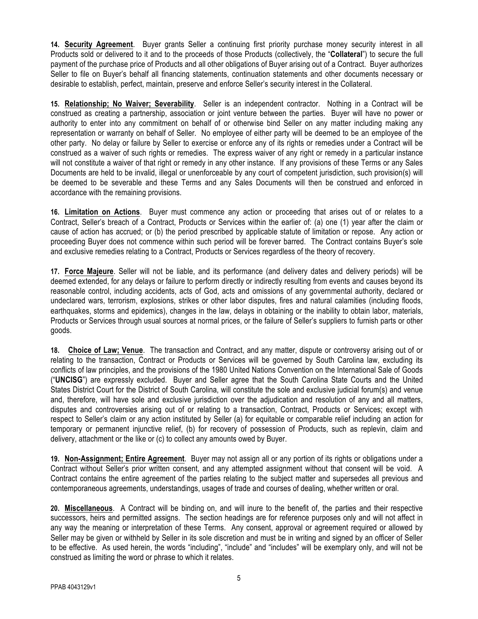**14. Security Agreement**. Buyer grants Seller a continuing first priority purchase money security interest in all Products sold or delivered to it and to the proceeds of those Products (collectively, the "**Collateral**") to secure the full payment of the purchase price of Products and all other obligations of Buyer arising out of a Contract. Buyer authorizes Seller to file on Buyer's behalf all financing statements, continuation statements and other documents necessary or desirable to establish, perfect, maintain, preserve and enforce Seller's security interest in the Collateral.

**15. Relationship; No Waiver; Severability**. Seller is an independent contractor. Nothing in a Contract will be construed as creating a partnership, association or joint venture between the parties. Buyer will have no power or authority to enter into any commitment on behalf of or otherwise bind Seller on any matter including making any representation or warranty on behalf of Seller. No employee of either party will be deemed to be an employee of the other party. No delay or failure by Seller to exercise or enforce any of its rights or remedies under a Contract will be construed as a waiver of such rights or remedies. The express waiver of any right or remedy in a particular instance will not constitute a waiver of that right or remedy in any other instance. If any provisions of these Terms or any Sales Documents are held to be invalid, illegal or unenforceable by any court of competent jurisdiction, such provision(s) will be deemed to be severable and these Terms and any Sales Documents will then be construed and enforced in accordance with the remaining provisions.

**16. Limitation on Actions**. Buyer must commence any action or proceeding that arises out of or relates to a Contract, Seller's breach of a Contract, Products or Services within the earlier of: (a) one (1) year after the claim or cause of action has accrued; or (b) the period prescribed by applicable statute of limitation or repose. Any action or proceeding Buyer does not commence within such period will be forever barred. The Contract contains Buyer's sole and exclusive remedies relating to a Contract, Products or Services regardless of the theory of recovery.

**17. Force Majeure**. Seller will not be liable, and its performance (and delivery dates and delivery periods) will be deemed extended, for any delays or failure to perform directly or indirectly resulting from events and causes beyond its reasonable control, including accidents, acts of God, acts and omissions of any governmental authority, declared or undeclared wars, terrorism, explosions, strikes or other labor disputes, fires and natural calamities (including floods, earthquakes, storms and epidemics), changes in the law, delays in obtaining or the inability to obtain labor, materials, Products or Services through usual sources at normal prices, or the failure of Seller's suppliers to furnish parts or other goods.

**18. Choice of Law; Venue**. The transaction and Contract, and any matter, dispute or controversy arising out of or relating to the transaction, Contract or Products or Services will be governed by South Carolina law, excluding its conflicts of law principles, and the provisions of the 1980 United Nations Convention on the International Sale of Goods ("**UNCISG**") are expressly excluded. Buyer and Seller agree that the South Carolina State Courts and the United States District Court for the District of South Carolina, will constitute the sole and exclusive judicial forum(s) and venue and, therefore, will have sole and exclusive jurisdiction over the adjudication and resolution of any and all matters, disputes and controversies arising out of or relating to a transaction, Contract, Products or Services; except with respect to Seller's claim or any action instituted by Seller (a) for equitable or comparable relief including an action for temporary or permanent injunctive relief, (b) for recovery of possession of Products, such as replevin, claim and delivery, attachment or the like or (c) to collect any amounts owed by Buyer.

**19. Non-Assignment; Entire Agreement**. Buyer may not assign all or any portion of its rights or obligations under a Contract without Seller's prior written consent, and any attempted assignment without that consent will be void. A Contract contains the entire agreement of the parties relating to the subject matter and supersedes all previous and contemporaneous agreements, understandings, usages of trade and courses of dealing, whether written or oral.

**20. Miscellaneous**. A Contract will be binding on, and will inure to the benefit of, the parties and their respective successors, heirs and permitted assigns. The section headings are for reference purposes only and will not affect in any way the meaning or interpretation of these Terms. Any consent, approval or agreement required or allowed by Seller may be given or withheld by Seller in its sole discretion and must be in writing and signed by an officer of Seller to be effective. As used herein, the words "including", "include" and "includes" will be exemplary only, and will not be construed as limiting the word or phrase to which it relates.